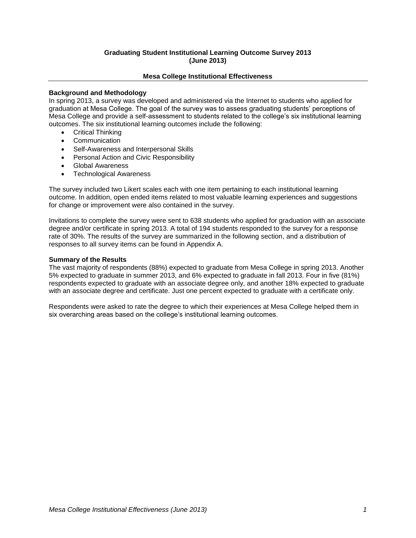# **Graduating Student Institutional Learning Outcome Survey 2013 (June 2013)**

## **Mesa College Institutional Effectiveness**

## **Background and Methodology**

In spring 2013, a survey was developed and administered via the Internet to students who applied for graduation at Mesa College. The goal of the survey was to assess graduating students' perceptions of Mesa College and provide a self-assessment to students related to the college's six institutional learning outcomes. The six institutional learning outcomes include the following:

- Critical Thinking
- Communication
- Self-Awareness and Interpersonal Skills
- **•** Personal Action and Civic Responsibility
- Global Awareness
- Technological Awareness

The survey included two Likert scales each with one item pertaining to each institutional learning outcome. In addition, open ended items related to most valuable learning experiences and suggestions for change or improvement were also contained in the survey.

Invitations to complete the survey were sent to 638 students who applied for graduation with an associate degree and/or certificate in spring 2013. A total of 194 students responded to the survey for a response rate of 30%. The results of the survey are summarized in the following section, and a distribution of responses to all survey items can be found in Appendix A.

### **Summary of the Results**

The vast majority of respondents (88%) expected to graduate from Mesa College in spring 2013. Another 5% expected to graduate in summer 2013, and 6% expected to graduate in fall 2013. Four in five (81%) respondents expected to graduate with an associate degree only, and another 18% expected to graduate with an associate degree and certificate. Just one percent expected to graduate with a certificate only.

Respondents were asked to rate the degree to which their experiences at Mesa College helped them in six overarching areas based on the college's institutional learning outcomes.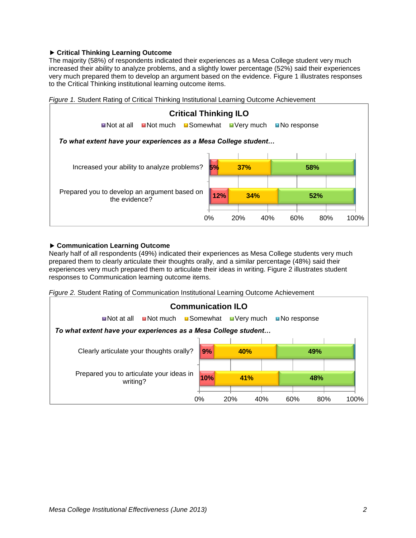# **Critical Thinking Learning Outcome**

The majority (58%) of respondents indicated their experiences as a Mesa College student very much increased their ability to analyze problems, and a slightly lower percentage (52%) said their experiences very much prepared them to develop an argument based on the evidence. Figure 1 illustrates responses to the Critical Thinking institutional learning outcome items.



# *Figure 1.* Student Rating of Critical Thinking Institutional Learning Outcome Achievement

## **Communication Learning Outcome**

Nearly half of all respondents (49%) indicated their experiences as Mesa College students very much prepared them to clearly articulate their thoughts orally, and a similar percentage (48%) said their experiences very much prepared them to articulate their ideas in writing. Figure 2 illustrates student responses to Communication learning outcome items.

*Figure 2.* Student Rating of Communication Institutional Learning Outcome Achievement

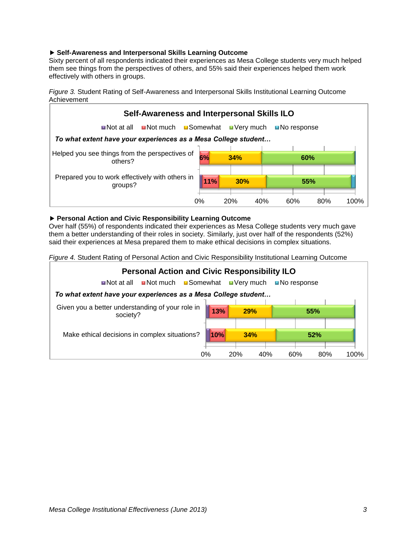# **Self-Awareness and Interpersonal Skills Learning Outcome**

Sixty percent of all respondents indicated their experiences as Mesa College students very much helped them see things from the perspectives of others, and 55% said their experiences helped them work effectively with others in groups.

*Figure 3.* Student Rating of Self-Awareness and Interpersonal Skills Institutional Learning Outcome Achievement



## **Personal Action and Civic Responsibility Learning Outcome**

Over half (55%) of respondents indicated their experiences as Mesa College students very much gave them a better understanding of their roles in society. Similarly, just over half of the respondents (52%) said their experiences at Mesa prepared them to make ethical decisions in complex situations.

*Figure 4.* Student Rating of Personal Action and Civic Responsibility Institutional Learning Outcome

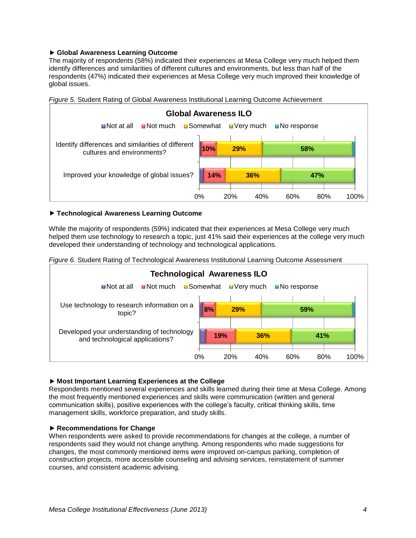# **Global Awareness Learning Outcome**

The majority of respondents (58%) indicated their experiences at Mesa College very much helped them identify differences and similarities of different cultures and environments, but less than half of the respondents (47%) indicated their experiences at Mesa College very much improved their knowledge of global issues.



*Figure 5.* Student Rating of Global Awareness Institutional Learning Outcome Achievement

### **Technological Awareness Learning Outcome**

While the majority of respondents (59%) indicated that their experiences at Mesa College very much helped them use technology to research a topic, just 41% said their experiences at the college very much developed their understanding of technology and technological applications.

*Figure 6.* Student Rating of Technological Awareness Institutional Learning Outcome Assessment



### **Most Important Learning Experiences at the College**

Respondents mentioned several experiences and skills learned during their time at Mesa College. Among the most frequently mentioned experiences and skills were communication (written and general communication skills), positive experiences with the college's faculty, critical thinking skills, time management skills, workforce preparation, and study skills.

### **Recommendations for Change**

When respondents were asked to provide recommendations for changes at the college, a number of respondents said they would not change anything. Among respondents who made suggestions for changes, the most commonly mentioned items were improved on-campus parking, completion of construction projects, more accessible counseling and advising services, reinstatement of summer courses, and consistent academic advising.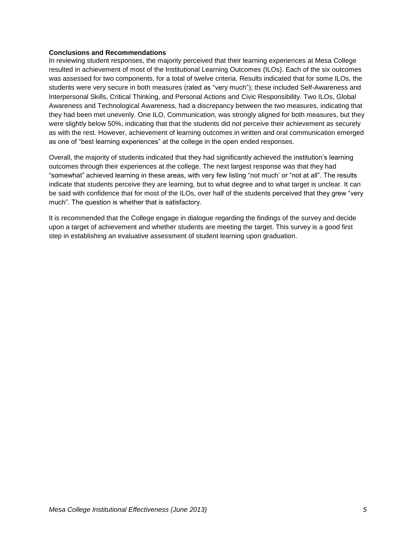### **Conclusions and Recommendations**

In reviewing student responses, the majority perceived that their learning experiences at Mesa College resulted in achievement of most of the Institutional Learning Outcomes (ILOs). Each of the six outcomes was assessed for two components, for a total of twelve criteria. Results indicated that for some ILOs, the students were very secure in both measures (rated as "very much"); these included Self-Awareness and Interpersonal Skills, Critical Thinking, and Personal Actions and Civic Responsibility. Two ILOs, Global Awareness and Technological Awareness, had a discrepancy between the two measures, indicating that they had been met unevenly. One ILO, Communication, was strongly aligned for both measures, but they were slightly below 50%, indicating that that the students did not perceive their achievement as securely as with the rest. However, achievement of learning outcomes in written and oral communication emerged as one of "best learning experiences" at the college in the open ended responses.

Overall, the majority of students indicated that they had significantly achieved the institution's learning outcomes through their experiences at the college. The next largest response was that they had "somewhat" achieved learning in these areas, with very few listing "not much' or "not at all". The results indicate that students perceive they are learning, but to what degree and to what target is unclear. It can be said with confidence that for most of the ILOs, over half of the students perceived that they grew "very much". The question is whether that is satisfactory.

It is recommended that the College engage in dialogue regarding the findings of the survey and decide upon a target of achievement and whether students are meeting the target. This survey is a good first step in establishing an evaluative assessment of student learning upon graduation.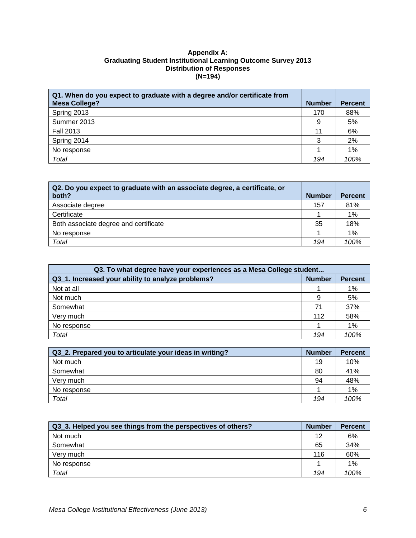## **Appendix A: Graduating Student Institutional Learning Outcome Survey 2013 Distribution of Responses (N=194)**

| Q1. When do you expect to graduate with a degree and/or certificate from |               |                |
|--------------------------------------------------------------------------|---------------|----------------|
| <b>Mesa College?</b>                                                     | <b>Number</b> | <b>Percent</b> |
| Spring 2013                                                              | 170           | 88%            |
| Summer 2013                                                              | 9             | 5%             |
| <b>Fall 2013</b>                                                         | 11            | 6%             |
| Spring 2014                                                              | 3             | 2%             |
| No response                                                              |               | 1%             |
| Total                                                                    | 194           | 100%           |

| Q2. Do you expect to graduate with an associate degree, a certificate, or<br>both? | <b>Number</b> | <b>Percent</b> |
|------------------------------------------------------------------------------------|---------------|----------------|
| Associate degree                                                                   | 157           | 81%            |
| Certificate                                                                        |               | 1%             |
| Both associate degree and certificate                                              | 35            | 18%            |
| No response                                                                        |               | $1\%$          |
| Total                                                                              | 194           | 100%           |

| Q3. To what degree have your experiences as a Mesa College student |               |                |
|--------------------------------------------------------------------|---------------|----------------|
| Q3 1. Increased your ability to analyze problems?                  | <b>Number</b> | <b>Percent</b> |
| Not at all                                                         |               | 1%             |
| Not much                                                           | 9             | 5%             |
| Somewhat                                                           | 71            | 37%            |
| Very much                                                          | 112           | 58%            |
| No response                                                        |               | 1%             |
| Total                                                              | 194           | 100%           |

| Q3_2. Prepared you to articulate your ideas in writing? | <b>Number</b> | <b>Percent</b> |
|---------------------------------------------------------|---------------|----------------|
| Not much                                                | 19            | 10%            |
| Somewhat                                                | 80            | 41%            |
| Very much                                               | 94            | 48%            |
| No response                                             |               | 1%             |
| Total                                                   | 194           | 100%           |

| Q3_3. Helped you see things from the perspectives of others? | <b>Number</b> | <b>Percent</b> |
|--------------------------------------------------------------|---------------|----------------|
| Not much                                                     | 12            | 6%             |
| Somewhat                                                     | 65            | 34%            |
| Verv much                                                    | 116           | 60%            |
| No response                                                  |               | 1%             |
| Total                                                        | 194           | 100%           |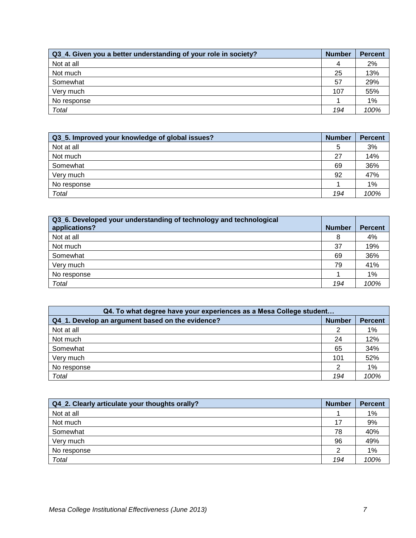| Q3_4. Given you a better understanding of your role in society? | <b>Number</b> | <b>Percent</b> |
|-----------------------------------------------------------------|---------------|----------------|
| Not at all                                                      | 4             | 2%             |
| Not much                                                        | 25            | 13%            |
| Somewhat                                                        | 57            | 29%            |
| Very much                                                       | 107           | 55%            |
| No response                                                     |               | $1\%$          |
| Total                                                           | 194           | 100%           |

| Q3_5. Improved your knowledge of global issues? | <b>Number</b> | <b>Percent</b> |
|-------------------------------------------------|---------------|----------------|
| Not at all                                      | 5             | 3%             |
| Not much                                        | 27            | 14%            |
| Somewhat                                        | 69            | 36%            |
| Very much                                       | 92            | 47%            |
| No response                                     |               | 1%             |
| Total                                           | 194           | 100%           |

| Q3_6. Developed your understanding of technology and technological<br>applications? | <b>Number</b> | <b>Percent</b> |
|-------------------------------------------------------------------------------------|---------------|----------------|
| Not at all                                                                          | 8             | 4%             |
| Not much                                                                            | 37            | 19%            |
| Somewhat                                                                            | 69            | 36%            |
| Very much                                                                           | 79            | 41%            |
| No response                                                                         |               | 1%             |
| Total                                                                               | 194           | 100%           |

| Q4. To what degree have your experiences as a Mesa College student |               |                |
|--------------------------------------------------------------------|---------------|----------------|
| Q4_1. Develop an argument based on the evidence?                   | <b>Number</b> | <b>Percent</b> |
| Not at all                                                         |               | 1%             |
| Not much                                                           | 24            | 12%            |
| Somewhat                                                           | 65            | 34%            |
| Very much                                                          | 101           | 52%            |
| No response                                                        | ⌒             | 1%             |
| Total                                                              | 194           | 100%           |

| Q4 2. Clearly articulate your thoughts orally? | <b>Number</b> | <b>Percent</b> |
|------------------------------------------------|---------------|----------------|
| Not at all                                     |               | 1%             |
| Not much                                       | 17            | 9%             |
| Somewhat                                       | 78            | 40%            |
| Very much                                      | 96            | 49%            |
| No response                                    | 2             | 1%             |
| Total                                          | 194           | 100%           |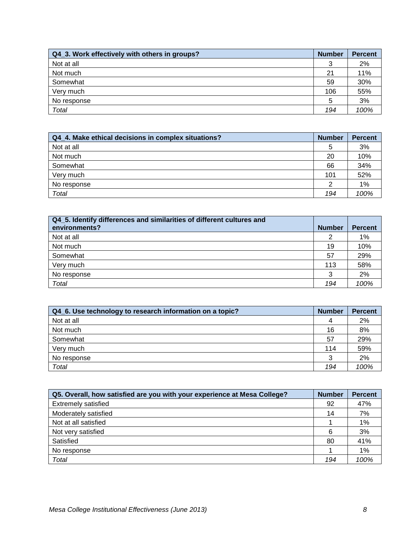| Q4 3. Work effectively with others in groups? | <b>Number</b> | <b>Percent</b> |
|-----------------------------------------------|---------------|----------------|
| Not at all                                    | 3             | 2%             |
| Not much                                      | 21            | 11%            |
| Somewhat                                      | 59            | 30%            |
| Very much                                     | 106           | 55%            |
| No response                                   | 5             | 3%             |
| Total                                         | 194           | 100%           |

| Q4 4. Make ethical decisions in complex situations? | <b>Number</b> | <b>Percent</b> |
|-----------------------------------------------------|---------------|----------------|
| Not at all                                          | 5             | 3%             |
| Not much                                            | 20            | 10%            |
| Somewhat                                            | 66            | 34%            |
| Very much                                           | 101           | 52%            |
| No response                                         | າ             | 1%             |
| Total                                               | 194           | 100%           |

| Q4_5. Identify differences and similarities of different cultures and |               |                |
|-----------------------------------------------------------------------|---------------|----------------|
| environments?                                                         | <b>Number</b> | <b>Percent</b> |
| Not at all                                                            |               | 1%             |
| Not much                                                              | 19            | 10%            |
| Somewhat                                                              | 57            | 29%            |
| Very much                                                             | 113           | 58%            |
| No response                                                           | 3             | 2%             |
| Total                                                                 | 194           | 100%           |

| Q4_6. Use technology to research information on a topic? | <b>Number</b> | <b>Percent</b> |
|----------------------------------------------------------|---------------|----------------|
| Not at all                                               |               | 2%             |
| Not much                                                 | 16            | 8%             |
| Somewhat                                                 | 57            | 29%            |
| Very much                                                | 114           | 59%            |
| No response                                              | 3             | 2%             |
| <b>Total</b>                                             | 194           | 100%           |

| Q5. Overall, how satisfied are you with your experience at Mesa College? | <b>Number</b> | <b>Percent</b> |
|--------------------------------------------------------------------------|---------------|----------------|
| <b>Extremely satisfied</b>                                               | 92            | 47%            |
| Moderately satisfied                                                     | 14            | 7%             |
| Not at all satisfied                                                     |               | 1%             |
| Not very satisfied                                                       | 6             | 3%             |
| Satisfied                                                                | 80            | 41%            |
| No response                                                              |               | 1%             |
| Total                                                                    | 194           | 100%           |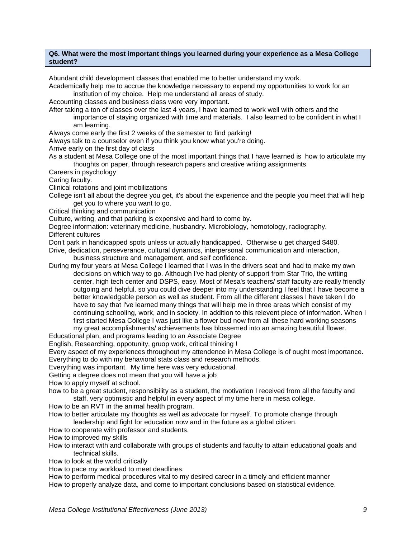#### **Q6. What were the most important things you learned during your experience as a Mesa College student?**

Abundant child development classes that enabled me to better understand my work.

Academically help me to accrue the knowledge necessary to expend my opportunities to work for an institution of my choice. Help me understand all areas of study.

Accounting classes and business class were very important.

After taking a ton of classes over the last 4 years, I have learned to work well with others and the importance of staying organized with time and materials. I also learned to be confident in what I

am learning.

Always come early the first 2 weeks of the semester to find parking!

Always talk to a counselor even if you think you know what you're doing.

Arrive early on the first day of class

As a student at Mesa College one of the most important things that I have learned is how to articulate my thoughts on paper, through research papers and creative writing assignments.

Careers in psychology

Caring faculty.

Clinical rotations and joint mobilizations

College isn't all about the degree you get, it's about the experience and the people you meet that will help get you to where you want to go.

Critical thinking and communication

Culture, writing, and that parking is expensive and hard to come by.

Degree information: veterinary medicine, husbandry. Microbiology, hemotology, radiography. Different cultures

Don't park in handicapped spots unless ur actually handicapped. Otherwise u get charged \$480.

Drive, dedication, perseverance, cultural dynamics, interpersonal communication and interaction, business structure and management, and self confidence.

During my four years at Mesa College I learned that I was in the drivers seat and had to make my own decisions on which way to go. Although I've had plenty of support from Star Trio, the writing center, high tech center and DSPS, easy. Most of Mesa's teachers/ staff faculty are really friendly outgoing and helpful. so you could dive deeper into my understanding I feel that I have become a better knowledgable person as well as student. From all the different classes I have taken I do have to say that I've learned many things that will help me in three areas which consist of my continuing schooling, work, and in society. In addition to this relevent piece of information. When I first started Mesa College I was just like a flower bud now from all these hard working seasons my great accomplishments/ achievements has blossemed into an amazing beautiful flower.

Educational plan, and programs leading to an Associate Degree

English, Researching, oppotunity, gruop work, critical thinking !

Every aspect of my experiences throughout my attendence in Mesa College is of ought most importance. Everything to do with my behavioral stats class and research methods.

Everything was important. My time here was very educational.

Getting a degree does not mean that you will have a job

How to apply myself at school.

how to be a great student, responsibility as a student, the motivation I received from all the faculty and staff, very optimistic and helpful in every aspect of my time here in mesa college.

How to be an RVT in the animal health program.

How to better articulate my thoughts as well as advocate for myself. To promote change through leadership and fight for education now and in the future as a global citizen.

How to cooperate with professor and students.

How to improved my skills

How to interact with and collaborate with groups of students and faculty to attain educational goals and technical skills.

How to look at the world critically

How to pace my workload to meet deadlines.

How to perform medical procedures vital to my desired career in a timely and efficient manner

How to properly analyze data, and come to important conclusions based on statistical evidence.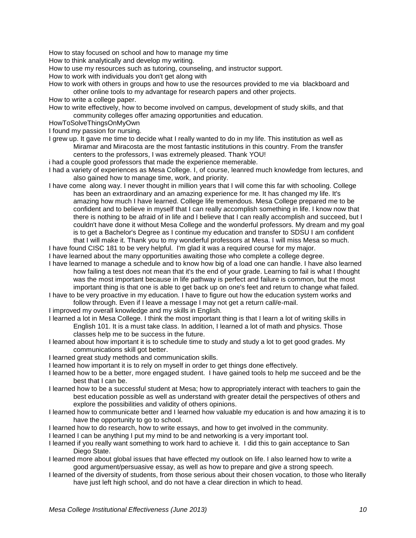How to stay focused on school and how to manage my time

How to think analytically and develop my writing.

How to use my resources such as tutoring, counseling, and instructor support.

How to work with individuals you don't get along with

How to work with others in groups and how to use the resources provided to me via blackboard and other online tools to my advantage for research papers and other projects.

How to write a college paper.

How to write effectively, how to become involved on campus, development of study skills, and that community colleges offer amazing opportunities and education.

HowToSolveThingsOnMyOwn

I found my passion for nursing.

- I grew up. It gave me time to decide what I really wanted to do in my life. This institution as well as Miramar and Miracosta are the most fantastic institutions in this country. From the transfer centers to the professors, I was extremely pleased. Thank YOU!
- i had a couple good professors that made the experience memerable.
- I had a variety of experiences as Mesa College. I, of course, leanred much knowledge from lectures, and also gained how to manage time, work, and priority.
- I have come along way. I never thought in million years that I will come this far with schooling. College has been an extraordinary and an amazing experience for me. It has changed my life. It's amazing how much I have learned. College life tremendous. Mesa College prepared me to be confident and to believe in myself that I can really accomplish something in life. I know now that there is nothing to be afraid of in life and I believe that I can really accomplish and succeed, but I couldn't have done it without Mesa College and the wonderful professors. My dream and my goal is to get a Bachelor's Degree as I continue my education and transfer to SDSU I am confident that I will make it. Thank you to my wonderful professors at Mesa. I will miss Mesa so much.

I have found CISC 181 to be very helpful. I'm glad it was a required course for my major. I have learned about the many opportunities awaiting those who complete a college degree.

- I have learned to manage a schedule and to know how big of a load one can handle. I have also learned how failing a test does not mean that it's the end of your grade. Learning to fail is what I thought was the most important because in life pathway is perfect and failure is common, but the most important thing is that one is able to get back up on one's feet and return to change what failed.
- I have to be very proactive in my education. I have to figure out how the education system works and follow through. Even if I leave a message I may not get a return call/e-mail.
- I improved my overall knowledge and my skills in English.
- I learned a lot in Mesa College. I think the most important thing is that I learn a lot of writing skills in English 101. It is a must take class. In addition, I learned a lot of math and physics. Those classes help me to be success in the future.
- I learned about how important it is to schedule time to study and study a lot to get good grades. My communications skill got better.
- I learned great study methods and communication skills.
- I learned how important it is to rely on myself in order to get things done effectively.
- I learned how to be a better, more engaged student. I have gained tools to help me succeed and be the best that I can be.
- I learned how to be a successful student at Mesa; how to appropriately interact with teachers to gain the best education possible as well as understand with greater detail the perspectives of others and explore the possibilities and validity of others opinions.
- I learned how to communicate better and I learned how valuable my education is and how amazing it is to have the opportunity to go to school.
- I learned how to do research, how to write essays, and how to get involved in the community.
- I learned I can be anything I put my mind to be and networking is a very important tool.
- I learned if you really want something to work hard to achieve it. I did this to gain acceptance to San Diego State.
- I learned more about global issues that have effected my outlook on life. I also learned how to write a good argument/persuasive essay, as well as how to prepare and give a strong speech.
- I learned of the diversity of students, from those serious about their chosen vocation, to those who literally have just left high school, and do not have a clear direction in which to head.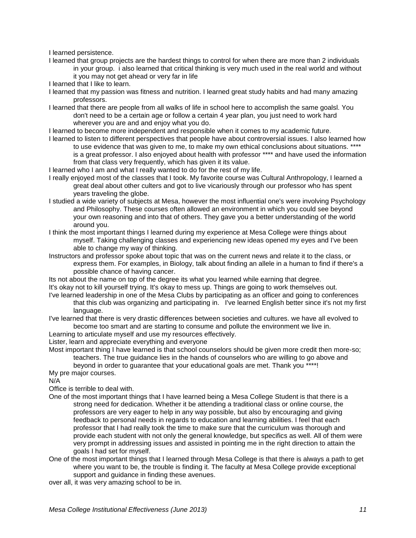I learned persistence.

- I learned that group projects are the hardest things to control for when there are more than 2 individuals in your group. i also learned that critical thinking is very much used in the real world and without it you may not get ahead or very far in life
- I learned that I like to learn.
- I learned that my passion was fitness and nutrition. I learned great study habits and had many amazing professors.
- I learned that there are people from all walks of life in school here to accomplish the same goalsl. You don't need to be a certain age or follow a certain 4 year plan, you just need to work hard wherever you are and and enjoy what you do.
- I learned to become more independent and responsible when it comes to my academic future.
- I learned to listen to different perspectives that people have about controversial issues. I also learned how to use evidence that was given to me, to make my own ethical conclusions about situations. \*\*\*\*
	- is a great professor. I also enjoyed about health with professor \*\*\*\* and have used the information from that class very frequently, which has given it its value.

I learned who I am and what I really wanted to do for the rest of my life.

- I really enjoyed most of the classes that I took. My favorite course was Cultural Anthropology, I learned a great deal about other culters and got to live vicariously through our professor who has spent years traveling the globe.
- I studied a wide variety of subjects at Mesa, however the most influential one's were involving Psychology and Philosophy. These courses often allowed an environment in which you could see beyond your own reasoning and into that of others. They gave you a better understanding of the world around you.
- I think the most important things I learned during my experience at Mesa College were things about myself. Taking challenging classes and experiencing new ideas opened my eyes and I've been able to change my way of thinking.
- Instructors and professor spoke about topic that was on the current news and relate it to the class, or express them. For examples, in Biology, talk about finding an allele in a human to find if there's a possible chance of having cancer.
- Its not about the name on top of the degree its what you learned while earning that degree. It's okay not to kill yourself trying. It's okay to mess up. Things are going to work themselves out.
- I've learned leadership in one of the Mesa Clubs by participating as an officer and going to conferences that this club was organizing and participating in. I've learned English better since it's not my first language.
- I've learned that there is very drastic differences between societies and cultures. we have all evolved to become too smart and are starting to consume and pollute the environment we live in.
- Learning to articulate myself and use my resources effectively.
- Lister, learn and appreciate everything and everyone

Most important thing I have learned is that school counselors should be given more credit then more-so; teachers. The true guidance lies in the hands of counselors who are willing to go above and

beyond in order to guarantee that your educational goals are met. Thank you \*\*\*\*!

My pre major courses.

N/A

Office is terrible to deal with.

- One of the most important things that I have learned being a Mesa College Student is that there is a strong need for dedication. Whether it be attending a traditional class or online course, the professors are very eager to help in any way possible, but also by encouraging and giving feedback to personal needs in regards to education and learning abilities. I feel that each professor that I had really took the time to make sure that the curriculum was thorough and provide each student with not only the general knowledge, but specifics as well. All of them were very prompt in addressing issues and assisted in pointing me in the right direction to attain the goals I had set for myself.
- One of the most important things that I learned through Mesa College is that there is always a path to get where you want to be, the trouble is finding it. The faculty at Mesa College provide exceptional support and guidance in finding these avenues.

over all, it was very amazing school to be in.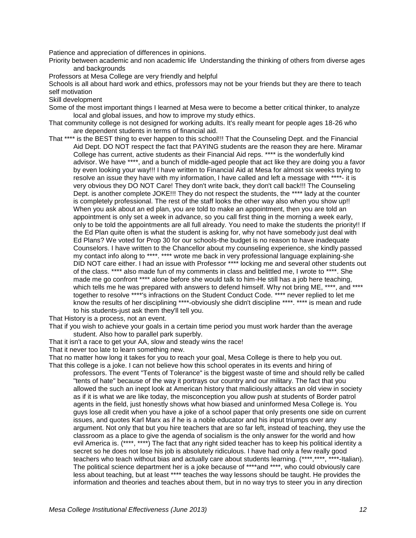Patience and appreciation of differences in opinions.

Priority between academic and non academic life Understanding the thinking of others from diverse ages and backgrounds

Professors at Mesa College are very friendly and helpful

Schools is all about hard work and ethics, professors may not be your friends but they are there to teach self motivation

Skill development

Some of the most important things I learned at Mesa were to become a better critical thinker, to analyze local and global issues, and how to improve my study ethics.

- That community college is not designed for working adults. It's really meant for people ages 18-26 who are dependent students in terms of financial aid.
- That \*\*\*\* is the BEST thing to ever happen to this school!!! That the Counseling Dept. and the Financial Aid Dept. DO NOT respect the fact that PAYING students are the reason they are here. Miramar College has current, active students as their Financial Aid reps. \*\*\*\* is the wonderfully kind advisor. We have \*\*\*\*, and a bunch of middle-aged people that act like they are doing you a favor by even looking your way!!! I have written to Financial Aid at Mesa for almost six weeks trying to resolve an issue they have with my information, I have called and left a message with \*\*\*\*- it is very obvious they DO NOT Care! They don't write back, they don't call back!!! The Counseling Dept. is another complete JOKE!!! They do not respect the students, the \*\*\*\* lady at the counter is completely professional. The rest of the staff looks the other way also when you show up!! When you ask about an ed plan, you are told to make an appointment, then you are told an appointment is only set a week in advance, so you call first thing in the morning a week early, only to be told the appointments are all full already. You need to make the students the priority!! If the Ed Plan quite often is what the student is asking for, why not have somebody just deal with Ed Plans? We voted for Prop 30 for our schools-the budget is no reason to have inadequate Counselors. I have written to the Chancellor about my counseling experience, she kindly passed my contact info along to \*\*\*\*. \*\*\*\* wrote me back in very professional language explaining-she DID NOT care either. I had an issue with Professor \*\*\*\* locking me and several other students out of the class. \*\*\*\* also made fun of my comments in class and belittled me, I wrote to \*\*\*\*. She made me go confront \*\*\*\* alone before she would talk to him-He still has a job here teaching, which tells me he was prepared with answers to defend himself. Why not bring ME, \*\*\*\*, and \*\*\*\* together to resolve \*\*\*\*'s infractions on the Student Conduct Code. \*\*\*\* never replied to let me know the results of her disciplining \*\*\*\*-obviously she didn't discipline \*\*\*\*. \*\*\*\* is mean and rude to his students-just ask them they'll tell you.

That History is a process, not an event.

That if you wish to achieve your goals in a certain time period you must work harder than the average student. Also how to parallel park superbly.

That it isn't a race to get your AA, slow and steady wins the race!

That it never too late to learn something new.

That no matter how long it takes for you to reach your goal, Mesa College is there to help you out. That this college is a joke. I can not believe how this school operates in its events and hiring of

professors. The event "Tents of Tolerance" is the biggest waste of time and should relly be called "tents of hate" because of the way it portrays our country and our military. The fact that you allowed the such an inept look at American history that maliciously attacks an old view in society as if it is what we are like today, the misconception you allow push at students of Border patrol agents in the field, just honestly shows what how biased and uninformed Mesa College is. You guys lose all credit when you have a joke of a school paper that only presents one side on current issues, and quotes Karl Marx as if he is a noble educator and his input triumps over any argument. Not only that but you hire teachers that are so far left, instead of teaching, they use the classroom as a place to give the agenda of socialism is the only answer for the world and how evil America is. (\*\*\*\*, \*\*\*\*) The fact that any right sided teacher has to keep his political identity a secret so he does not lose his job is absolutely ridiculous. I have had only a few really good teachers who teach without bias and actually care about students learning. (\*\*\*\*,\*\*\*\*, \*\*\*\*-Italian). The political science department her is a joke because of \*\*\*\*and \*\*\*\*, who could obviously care less about teaching, but at least \*\*\*\* teaches the way lessons should be taught. He provides the information and theories and teaches about them, but in no way trys to steer you in any direction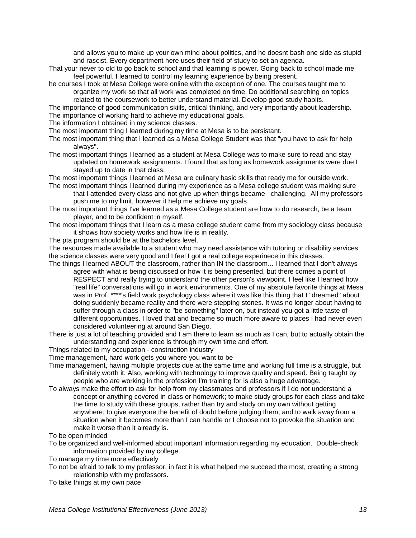and allows you to make up your own mind about politics, and he doesnt bash one side as stupid and rascist. Every department here uses their field of study to set an agenda.

- That your never to old to go back to school and that learning is power. Going back to school made me feel powerful. I learned to control my learning experience by being present.
- he courses I took at Mesa College were online with the exception of one. The courses taught me to organize my work so that all work was completed on time. Do additional searching on topics related to the coursework to better understand material. Develop good study habits.

The importance of good communication skills, critical thinking, and very importantly about leadership. The importance of working hard to achieve my educational goals.

The information I obtained in my science classes.

The most important thing I learned during my time at Mesa is to be persistant.

- The most important thing that I learned as a Mesa College Student was that "you have to ask for help always".
- The most important things I learned as a student at Mesa College was to make sure to read and stay updated on homework assignments. I found that as long as homework assignments were due I stayed up to date in that class.

The most important things I learned at Mesa are culinary basic skills that ready me for outside work. The most important things I learned during my experience as a Mesa college student was making sure

- that I attended every class and not give up when things became challenging. All my professors push me to my limit, however it help me achieve my goals.
- The most important things I've learned as a Mesa College student are how to do research, be a team player, and to be confident in myself.
- The most important things that I learn as a mesa college student came from my sociology class because it shows how society works and how life is in reality.
- The pta program should be at the bachelors level.

The resources made available to a student who may need assistance with tutoring or disability services. the science classes were very good and I feel I got a real college experinece in this classes.

- The things I learned ABOUT the classroom, rather than IN the classroom... I learned that I don't always agree with what is being discussed or how it is being presented, but there comes a point of RESPECT and really trying to understand the other person's viewpoint. I feel like I learned how "real life" conversations will go in work environments. One of my absolute favorite things at Mesa was in Prof. \*\*\*\*'s field work psychology class where it was like this thing that I "dreamed" about doing suddenly became reality and there were stepping stones. It was no longer about having to suffer through a class in order to "be something" later on, but instead you got a little taste of different opportunities. I loved that and became so much more aware to places I had never even considered volunteering at around San Diego.
- There is just a lot of teaching provided and I am there to learn as much as I can, but to actually obtain the understanding and experience is through my own time and effort.

Things related to my occupation - construction industry

Time management, hard work gets you where you want to be

- Time management, having multiple projects due at the same time and working full time is a struggle, but definitely worth it. Also, working with technology to improve quality and speed. Being taught by people who are working in the profession I'm training for is also a huge advantage.
- To always make the effort to ask for help from my classmates and professors if I do not understand a concept or anything covered in class or homework; to make study groups for each class and take the time to study with these groups, rather than try and study on my own without getting anywhere; to give everyone the benefit of doubt before judging them; and to walk away from a situation when it becomes more than I can handle or I choose not to provoke the situation and make it worse than it already is.

To be open minded

- To be organized and well-informed about important information regarding my education. Double-check information provided by my college.
- To manage my time more effectively
- To not be afraid to talk to my professor, in fact it is what helped me succeed the most, creating a strong relationship with my professors.
- To take things at my own pace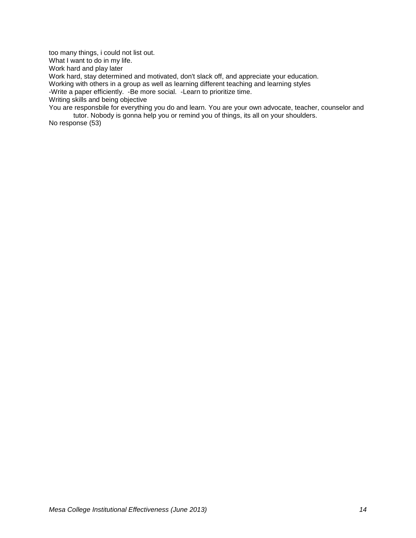too many things, i could not list out.

What I want to do in my life.

Work hard and play later

Work hard, stay determined and motivated, don't slack off, and appreciate your education.

Working with others in a group as well as learning different teaching and learning styles

-Write a paper efficiently. -Be more social. -Learn to prioritize time.

Writing skills and being objective

You are responsbile for everything you do and learn. You are your own advocate, teacher, counselor and tutor. Nobody is gonna help you or remind you of things, its all on your shoulders.

No response (53)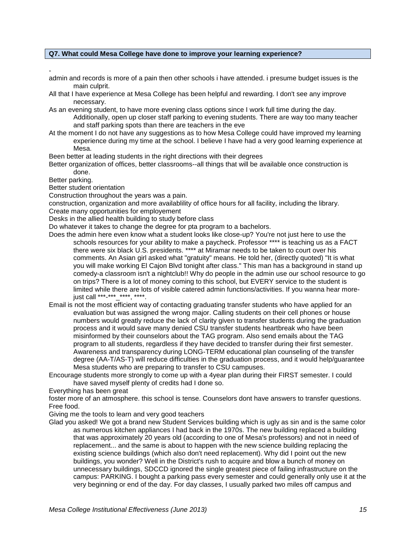### **Q7. What could Mesa College have done to improve your learning experience?**

 admin and records is more of a pain then other schools i have attended. i presume budget issues is the main culprit.

All that I have experience at Mesa College has been helpful and rewarding. I don't see any improve necessary.

As an evening student, to have more evening class options since I work full time during the day. Additionally, open up closer staff parking to evening students. There are way too many teacher and staff parking spots than there are teachers in the eve

At the moment I do not have any suggestions as to how Mesa College could have improved my learning experience during my time at the school. I believe I have had a very good learning experience at Mesa.

Been better at leading students in the right directions with their degrees

Better organization of offices, better classrooms--all things that will be available once construction is done.

Better parking.

Better student orientation

Construction throughout the years was a pain.

construction, organization and more availablility of office hours for all facility, including the library. Create many opportunities for employement

Desks in the allied health building to study before class

Do whatever it takes to change the degree for pta program to a bachelors.

- Does the admin here even know what a student looks like close-up? You're not just here to use the schools resources for your ability to make a paycheck. Professor \*\*\*\* is teaching us as a FACT there were six black U.S. presidents. \*\*\*\* at Miramar needs to be taken to court over his comments. An Asian girl asked what "gratuity" means. He told her, (directly quoted) "It is what you will make working El Cajon Blvd tonight after class." This man has a background in stand up comedy-a classroom isn't a nightclub!! Why do people in the admin use our school resource to go on trips? There is a lot of money coming to this school, but EVERY service to the student is limited while there are lots of visible catered admin functions/activities. If you wanna hear morejust call \*\*\*-\*\*\* \*\*\*\*, \*\*\*\*,
- Email is not the most efficient way of contacting graduating transfer students who have applied for an evaluation but was assigned the wrong major. Calling students on their cell phones or house numbers would greatly reduce the lack of clarity given to transfer students during the graduation process and it would save many denied CSU transfer students heartbreak who have been misinformed by their counselors about the TAG program. Also send emails about the TAG program to all students, regardless if they have decided to transfer during their first semester. Awareness and transparency during LONG-TERM educational plan counseling of the transfer degree (AA-T/AS-T) will reduce difficulties in the graduation process, and it would help/guarantee Mesa students who are preparing to transfer to CSU campuses.

Encourage students more strongly to come up with a 4year plan during their FIRST semester. I could have saved myself plenty of credits had I done so.

Everything has been great

foster more of an atmosphere. this school is tense. Counselors dont have answers to transfer questions. Free food.

Giving me the tools to learn and very good teachers

Glad you asked! We got a brand new Student Services building which is ugly as sin and is the same color as numerous kitchen appliances I had back in the 1970s. The new building replaced a building that was approximately 20 years old (according to one of Mesa's professors) and not in need of replacement... and the same is about to happen with the new science building replacing the existing science buildings (which also don't need replacement). Why did I point out the new buildings, you wonder? Well in the District's rush to acquire and blow a bunch of money on unnecessary buildings, SDCCD ignored the single greatest piece of failing infrastructure on the campus: PARKING. I bought a parking pass every semester and could generally only use it at the very beginning or end of the day. For day classes, I usually parked two miles off campus and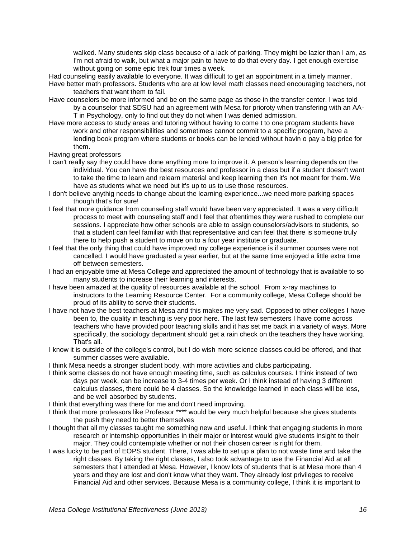walked. Many students skip class because of a lack of parking. They might be lazier than I am, as I'm not afraid to walk, but what a major pain to have to do that every day. I get enough exercise without going on some epic trek four times a week.

Had counseling easily available to everyone. It was difficult to get an appointment in a timely manner. Have better math professors. Students who are at low level math classes need encouraging teachers, not

teachers that want them to fail.

- Have counselors be more informed and be on the same page as those in the transfer center. I was told by a counselor that SDSU had an agreement with Mesa for prioroty when transfering with an AA-T in Psychology, only to find out they do not when I was denied admission.
- Have more access to study areas and tutoring without having to come t to one program students have work and other responsibilities and sometimes cannot commit to a specific program, have a lending book program where students or books can be lended without havin o pay a big price for them.

Having great professors

- I can't really say they could have done anything more to improve it. A person's learning depends on the individual. You can have the best resources and professor in a class but if a student doesn't want to take the time to learn and relearn material and keep learning then it's not meant for them. We have as students what we need but it's up to us to use those resources.
- I don't believe anythig needs to change about the learning experience...we need more parking spaces though that's for sure!
- I feel that more guidance from counseling staff would have been very appreciated. It was a very difficult process to meet with counseling staff and I feel that oftentimes they were rushed to complete our sessions. I appreciate how other schools are able to assign counselors/advisors to students, so that a student can feel familiar with that representative and can feel that there is someone truly there to help push a student to move on to a four year institute or graduate.
- I feel that the only thing that could have improved my college experience is if summer courses were not cancelled. I would have graduated a year earlier, but at the same time enjoyed a little extra time off between semesters.
- I had an enjoyable time at Mesa College and appreciated the amount of technology that is available to so many students to increase their learning and interests.
- I have been amazed at the quality of resources available at the school. From x-ray machines to instructors to the Learning Resource Center. For a community college, Mesa College should be proud of its ablilty to serve their students.
- I have not have the best teachers at Mesa and this makes me very sad. Opposed to other colleges I have been to, the quality in teaching is very poor here. The last few semesters I have come across teachers who have provided poor teaching skills and it has set me back in a variety of ways. More specifically, the sociology department should get a rain check on the teachers they have working. That's all.
- I know it is outside of the college's control, but I do wish more science classes could be offered, and that summer classes were available.

I think Mesa needs a stronger student body, with more activities and clubs participating.

- I think some classes do not have enough meeting time, such as calculus courses. I think instead of two days per week, can be increase to 3-4 times per week. Or I think instead of having 3 different calculus classes, there could be 4 classes. So the knowledge learned in each class will be less, and be well absorbed by students.
- I think that everything was there for me and don't need improving.
- I think that more professors like Professor \*\*\*\* would be very much helpful because she gives students the push they need to better themselves
- I thought that all my classes taught me something new and useful. I think that engaging students in more research or internship opportunities in their major or interest would give students insight to their major. They could contemplate whether or not their chosen career is right for them.
- I was lucky to be part of EOPS student. There, I was able to set up a plan to not waste time and take the right classes. By taking the right classes, I also took advantage to use the Financial Aid at all semesters that I attended at Mesa. However, I know lots of students that is at Mesa more than 4 years and they are lost and don't know what they want. They already lost privileges to receive Financial Aid and other services. Because Mesa is a community college, I think it is important to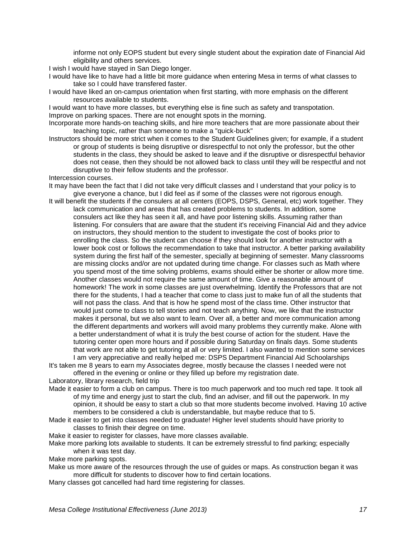informe not only EOPS student but every single student about the expiration date of Financial Aid eligibility and others services.

I wish I would have stayed in San Diego longer.

- I would have like to have had a little bit more guidance when entering Mesa in terms of what classes to take so I could have transfered faster.
- I would have liked an on-campus orientation when first starting, with more emphasis on the different resources available to students.

I would want to have more classes, but everything else is fine such as safety and transpotation. Improve on parking spaces. There are not enought spots in the morning.

- Incorporate more hands-on teaching skills, and hire more teachers that are more passionate about their teaching topic, rather than someone to make a "quick-buck"
- Instructors should be more strict when it comes to the Student Guidelines given; for example, if a student or group of students is being disruptive or disrespectful to not only the professor, but the other students in the class, they should be asked to leave and if the disruptive or disrespectful behavior does not cease, then they should be not allowed back to class until they will be respectful and not disruptive to their fellow students and the professor.
- Intercession courses.
- It may have been the fact that I did not take very difficult classes and I understand that your policy is to give everyone a chance, but I did feel as if some of the classes were not rigorous enough.
- It will benefit the students if the consulers at all centers (EOPS, DSPS, General, etc) work together. They lack communication and areas that has created problems to students. In addition, some consulers act like they has seen it all, and have poor listening skills. Assuming rather than listening. For consulers that are aware that the student it's receiving Financial Aid and they advice on instructors, they should mention to the student to investigate the cost of books prior to enrolling the class. So the student can choose if they should look for another instructor with a lower book cost or follows the recommendation to take that instructor. A better parking availability system during the first half of the semester, specially at beginning of semester. Many classrooms are missing clocks and/or are not updated during time change. For classes such as Math where you spend most of the time solving problems, exams should either be shorter or allow more time. Another classes would not require the same amount of time. Give a reasonable amount of homework! The work in some classes are just overwhelming. Identify the Professors that are not there for the students, I had a teacher that come to class just to make fun of all the students that will not pass the class. And that is how he spend most of the class time. Other instructor that would just come to class to tell stories and not teach anything. Now, we like that the instructor makes it personal, but we also want to learn. Over all, a better and more communication among the different departments and workers will avoid many problems they currently make. Alone with a better understandment of what it is truly the best course of action for the student. Have the tutoring center open more hours and if possible during Saturday on finals days. Some students that work are not able to get tutoring at all or very limited. I also wanted to mention some services I am very appreciative and really helped me: DSPS Department Financial Aid Schoolarships
- It's taken me 8 years to earn my Associates degree, mostly because the classes I needed were not offered in the evening or online or they filled up before my registration date.

Laboratory, library research, field trip

- Made it easier to form a club on campus. There is too much paperwork and too much red tape. It took all of my time and energy just to start the club, find an adviser, and fill out the paperwork. In my opinion, it should be easy to start a club so that more students become involved. Having 10 active members to be considered a club is understandable, but maybe reduce that to 5.
- Made it easier to get into classes needed to graduate! Higher level students should have priority to classes to finish their degree on time.
- Make it easier to register for classes, have more classes available.
- Make more parking lots available to students. It can be extremely stressful to find parking; especially when it was test day.
- Make more parking spots.
- Make us more aware of the resources through the use of guides or maps. As construction began it was more difficult for students to discover how to find certain locations.
- Many classes got cancelled had hard time registering for classes.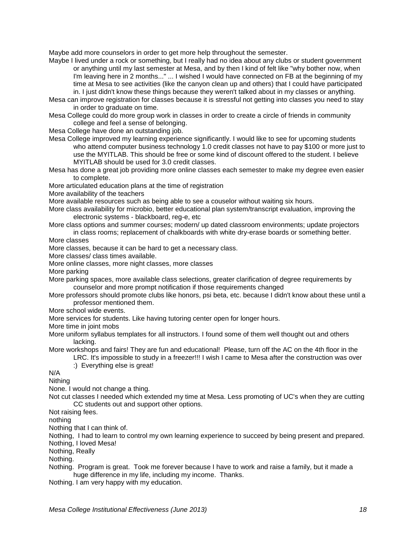Maybe add more counselors in order to get more help throughout the semester.

Maybe I lived under a rock or something, but I really had no idea about any clubs or student government or anything until my last semester at Mesa, and by then I kind of felt like "why bother now, when I'm leaving here in 2 months..." ... I wished I would have connected on FB at the beginning of my time at Mesa to see activities (like the canyon clean up and others) that I could have participated in. I just didn't know these things because they weren't talked about in my classes or anything.

Mesa can improve registration for classes because it is stressful not getting into classes you need to stay in order to graduate on time.

Mesa College could do more group work in classes in order to create a circle of friends in community college and feel a sense of belonging.

Mesa College have done an outstanding job.

Mesa College improved my learning experience significantly. I would like to see for upcoming students who attend computer business technology 1.0 credit classes not have to pay \$100 or more just to use the MYITLAB. This should be free or some kind of discount offered to the student. I believe MYITLAB should be used for 3.0 credit classes.

Mesa has done a great job providing more online classes each semester to make my degree even easier to complete.

More articulated education plans at the time of registration

More availability of the teachers

More available resources such as being able to see a couselor without waiting six hours.

More class availability for microbio, better educational plan system/transcript evaluation, improving the electronic systems - blackboard, reg-e, etc

More class options and summer courses; modern/ up dated classroom environments; update projectors in class rooms; replacement of chalkboards with white dry-erase boards or something better.

More classes

More classes, because it can be hard to get a necessary class.

More classes/ class times available.

More online classes, more night classes, more classes

More parking

More parking spaces, more available class selections, greater clarification of degree requirements by counselor and more prompt notification if those requirements changed

More professors should promote clubs like honors, psi beta, etc. because I didn't know about these until a professor mentioned them.

More school wide events.

More services for students. Like having tutoring center open for longer hours.

More time in joint mobs

More uniform syllabus templates for all instructors. I found some of them well thought out and others lacking.

More workshops and fairs! They are fun and educational! Please, turn off the AC on the 4th floor in the LRC. It's impossible to study in a freezer!!! I wish I came to Mesa after the construction was over

:) Everything else is great!

N/A

Nithing

None. I would not change a thing.

Not cut classes I needed which extended my time at Mesa. Less promoting of UC's when they are cutting CC students out and support other options.

Not raising fees.

nothing

Nothing that I can think of.

Nothing, I had to learn to control my own learning experience to succeed by being present and prepared. Nothing, I loved Mesa!

Nothing, Really

Nothing.

Nothing. Program is great. Took me forever because I have to work and raise a family, but it made a huge difference in my life, including my income. Thanks.

Nothing. I am very happy with my education.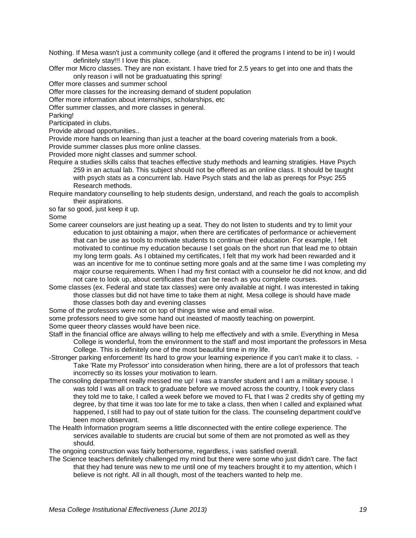Nothing. If Mesa wasn't just a community college (and it offered the programs I intend to be in) I would definitely stay!!! I love this place.

Offer mor Micro classes. They are non existant. I have tried for 2.5 years to get into one and thats the only reason i will not be graduatuating this spring!

Offer more classes and summer school

Offer more classes for the increasing demand of student population

Offer more information about internships, scholarships, etc

Offer summer classes, and more classes in general.

Parking!

Participated in clubs.

Provide abroad opportunities..

Provide more hands on learning than just a teacher at the board covering materials from a book. Provide summer classes plus more online classes.

Provided more night classes and summer school.

- Require a studies skills calss that teaches effective study methods and learning stratigies. Have Psych 259 in an actual lab. This subject should not be offered as an online class. It should be taught with psych stats as a concurrent lab. Have Psych stats and the lab as prereqs for Psyc 255 Research methods.
- Require mandatory counselling to help students design, understand, and reach the goals to accomplish their aspirations.

so far so good, just keep it up.

Some

- Some career counselors are just heating up a seat. They do not listen to students and try to limit your education to just obtaining a major, when there are certificates of performance or achievement that can be use as tools to motivate students to continue their education. For example, I felt motivated to continue my education because I set goals on the short run that lead me to obtain my long term goals. As I obtained my certificates, I felt that my work had been rewarded and it was an incentive for me to continue setting more goals and at the same time I was completing my major course requirements. When I had my first contact with a counselor he did not know, and did not care to look up, about certificates that can be reach as you complete courses.
- Some classes (ex. Federal and state tax classes) were only available at night. I was interested in taking those classes but did not have time to take them at night. Mesa college is should have made those classes both day and evening classes
- Some of the professors were not on top of things time wise and email wise.

some professors need to give some hand out ineasted of maostly teaching on powerpint. Some queer theory classes would have been nice.

Staff in the financial office are always willing to help me effectively and with a smile. Everything in Mesa College is wonderful, from the environment to the staff and most important the professors in Mesa College. This is definitely one of the most beautiful time in my life.

- -Stronger parking enforcement! Its hard to grow your learning experience if you can't make it to class. -Take 'Rate my Professor' into consideration when hiring, there are a lot of professors that teach incorrectly so its losses your motivation to learn.
- The consoling department really messed me up! I was a transfer student and I am a military spouse. I was told I was all on track to graduate before we moved across the country, I took every class they told me to take, I called a week before we moved to FL that I was 2 credits shy of getting my degree, by that time it was too late for me to take a class, then when I called and explained what happened, I still had to pay out of state tuition for the class. The counseling department could've been more observant.
- The Health Information program seems a little disconnected with the entire college experience. The services available to students are crucial but some of them are not promoted as well as they should.

The ongoing construction was fairly bothersome, regardless, i was satisfied overall.

The Science teachers definitely challenged my mind but there were some who just didn't care. The fact that they had tenure was new to me until one of my teachers brought it to my attention, which I believe is not right. All in all though, most of the teachers wanted to help me.